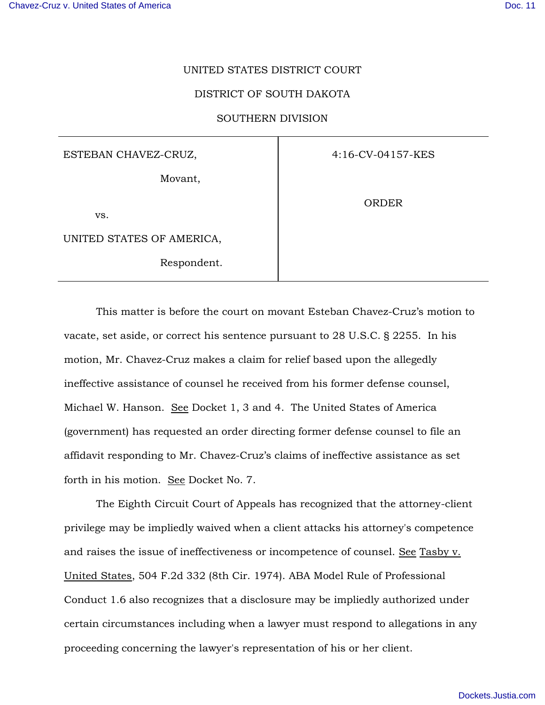## UNITED STATES DISTRICT COURT

## DISTRICT OF SOUTH DAKOTA

## SOUTHERN DIVISION

ESTEBAN CHAVEZ-CRUZ,

Movant,

vs.

UNITED STATES OF AMERICA,

Respondent.

4:16-CV-04157-KES

**ORDER** 

This matter is before the court on movant Esteban Chavez-Cruz's motion to vacate, set aside, or correct his sentence pursuant to 28 U.S.C. § 2255. In his motion, Mr. Chavez-Cruz makes a claim for relief based upon the allegedly ineffective assistance of counsel he received from his former defense counsel, Michael W. Hanson. See Docket 1, 3 and 4. The United States of America (government) has requested an order directing former defense counsel to file an affidavit responding to Mr. Chavez-Cruz's claims of ineffective assistance as set forth in his motion. See Docket No. 7.

The Eighth Circuit Court of Appeals has recognized that the attorney-client privilege may be impliedly waived when a client attacks his attorney's competence and raises the issue of ineffectiveness or incompetence of counsel. See Tasby v. United States, 504 F.2d 332 (8th Cir. 1974). ABA Model Rule of Professional Conduct 1.6 also recognizes that a disclosure may be impliedly authorized under certain circumstances including when a lawyer must respond to allegations in any proceeding concerning the lawyer's representation of his or her client.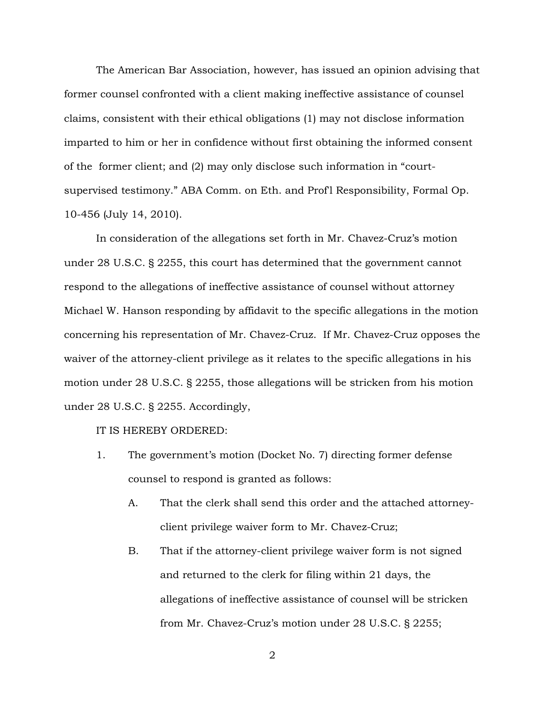The American Bar Association, however, has issued an opinion advising that former counsel confronted with a client making ineffective assistance of counsel claims, consistent with their ethical obligations (1) may not disclose information imparted to him or her in confidence without first obtaining the informed consent of the former client; and (2) may only disclose such information in "courtsupervised testimony." ABA Comm. on Eth. and Prof'l Responsibility, Formal Op. 10-456 (July 14, 2010).

In consideration of the allegations set forth in Mr. Chavez-Cruz's motion under 28 U.S.C. § 2255, this court has determined that the government cannot respond to the allegations of ineffective assistance of counsel without attorney Michael W. Hanson responding by affidavit to the specific allegations in the motion concerning his representation of Mr. Chavez-Cruz. If Mr. Chavez-Cruz opposes the waiver of the attorney-client privilege as it relates to the specific allegations in his motion under 28 U.S.C. § 2255, those allegations will be stricken from his motion under 28 U.S.C. § 2255. Accordingly,

## IT IS HEREBY ORDERED:

- 1. The government's motion (Docket No. 7) directing former defense counsel to respond is granted as follows:
	- A. That the clerk shall send this order and the attached attorneyclient privilege waiver form to Mr. Chavez-Cruz;
	- B. That if the attorney-client privilege waiver form is not signed and returned to the clerk for filing within 21 days, the allegations of ineffective assistance of counsel will be stricken from Mr. Chavez-Cruz's motion under 28 U.S.C. § 2255;

2